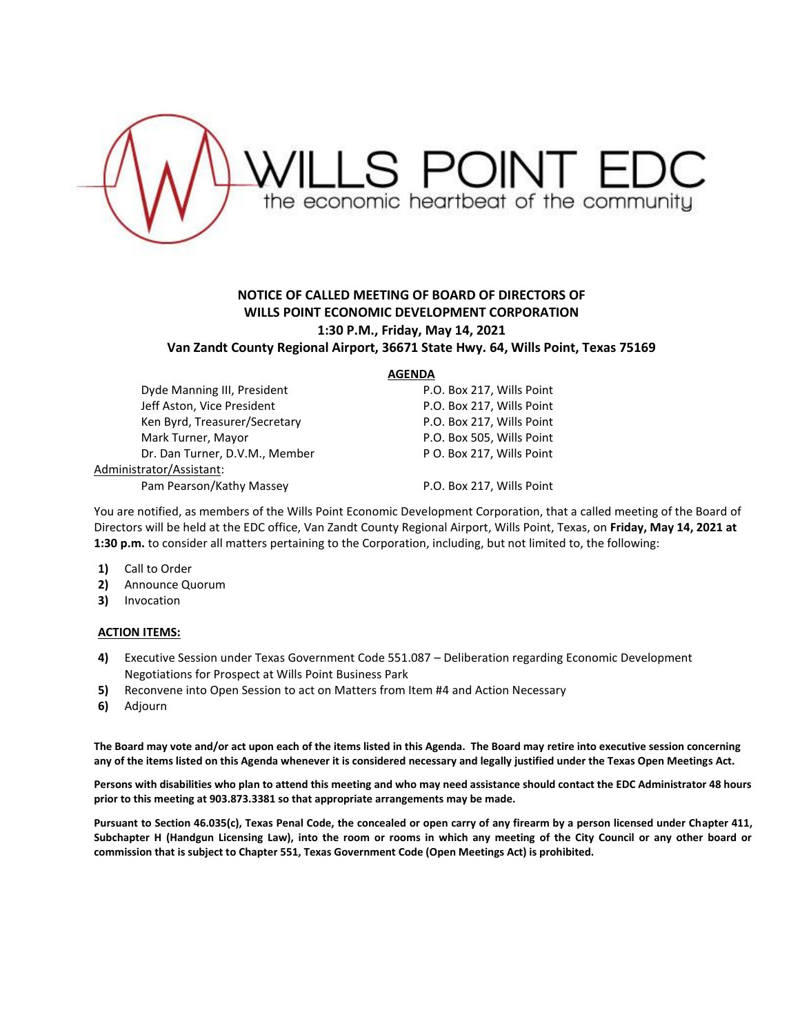

## **NOTICE OF CALLED MEETING OF BOARD OF DIRECTORS OF WILLS POINT ECONOMIC DEVELOPMENT CORPORATION 1:30 P.M., Friday, May 14, 2021 Van Zandt County Regional Airport, 36671 State Hwy. 64, Wills Point, Texas 75169**

## **AGENDA**

Dyde Manning III, President **P.O. Box 217, Wills Point** Jeff Aston, Vice President **P.O. Box 217, Wills Point** Ken Byrd, Treasurer/Secretary Facebook R.O. Box 217, Wills Point Mark Turner, Mayor National Communication of P.O. Box 505, Wills Point Dr. Dan Turner, D.V.M., Member P O. Box 217, Wills Point Administrator/Assistant:

Pam Pearson/Kathy Massey **P.O. Box 217, Wills Point** 

You are notified, as members of the Wills Point Economic Development Corporation, that a called meeting of the Board of Directors will be held at the EDC office, Van Zandt County Regional Airport, Wills Point, Texas, on **Friday, May 14, 2021 at 1:30 p.m.** to consider all matters pertaining to the Corporation, including, but not limited to, the following:

- **1)** Call to Order
- **2)** Announce Quorum
- **3)** Invocation

## **ACTION ITEMS:**

- **4)** Executive Session under Texas Government Code 551.087 Deliberation regarding Economic Development Negotiations for Prospect at Wills Point Business Park
- **5)** Reconvene into Open Session to act on Matters from Item #4 and Action Necessary
- **6)** Adjourn

**The Board may vote and/or act upon each of the items listed in this Agenda. The Board may retire into executive session concerning any of the items listed on this Agenda whenever it is considered necessary and legally justified under the Texas Open Meetings Act.**

**Persons with disabilities who plan to attend this meeting and who may need assistance should contact the EDC Administrator 48 hours prior to this meeting at 903.873.3381 so that appropriate arrangements may be made.**

**Pursuant to Section 46.035(c), Texas Penal Code, the concealed or open carry of any firearm by a person licensed under Chapter 411, Subchapter H (Handgun Licensing Law), into the room or rooms in which any meeting of the City Council or any other board or commission that is subject to Chapter 551, Texas Government Code (Open Meetings Act) is prohibited.**